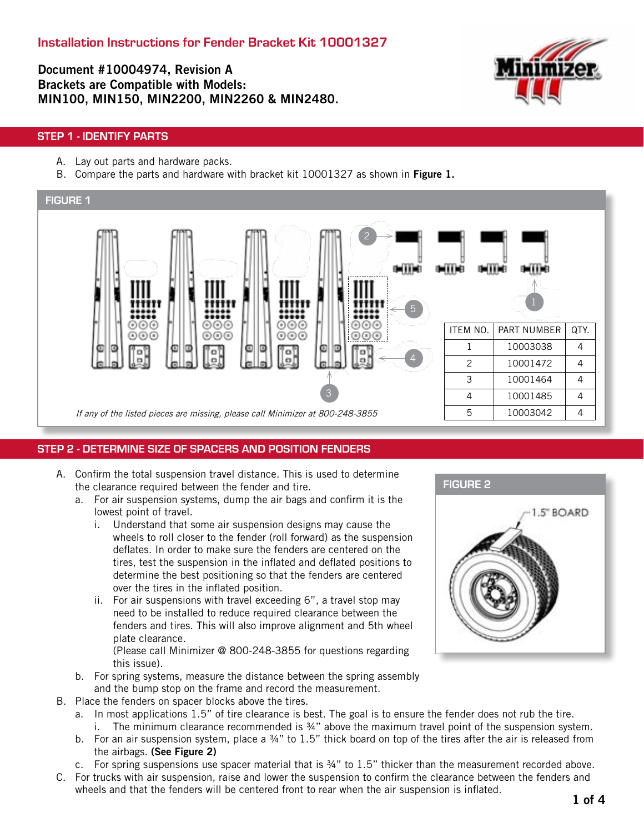Document #10004974, Revision A Brackets are Compatible with Models: MIN100, MIN150, MIN2200, MIN2260 & MIN2480.



## STEP 1 - IDENTIFY PARTS

- A. Lay out parts and hardware packs.
- B. Compare the parts and hardware with bracket kit 10001327 as shown in Figure 1.



## STEP 2 - DETERMINE SIZE OF SPACERS AND POSITION FENDERS

- A. Confirm the total suspension travel distance. This is used to determine the clearance required between the fender and tire.
	- a. For air suspension systems, dump the air bags and confirm it is the lowest point of travel.
		- i. Understand that some air suspension designs may cause the wheels to roll closer to the fender (roll forward) as the suspension deflates. In order to make sure the fenders are centered on the tires, test the suspension in the inflated and deflated positions to determine the best positioning so that the fenders are centered over the tires in the inflated position.
		- ii. For air suspensions with travel exceeding 6", a travel stop may need to be installed to reduce required clearance between the fenders and tires. This will also improve alignment and 5th wheel plate clearance.

(Please call Minimizer @ 800-248-3855 for questions regarding this issue).

- b. For spring systems, measure the distance between the spring assembly and the bump stop on the frame and record the measurement.
- B. Place the fenders on spacer blocks above the tires.
	- a. In most applications 1.5" of tire clearance is best. The goal is to ensure the fender does not rub the tire. i. The minimum clearance recommended is  $\frac{3}{4}$ " above the maximum travel point of the suspension system.
	- b. For an air suspension system, place a 34" to 1.5" thick board on top of the tires after the air is released from the airbags. (See Figure 2)
	- c. For spring suspensions use spacer material that is  $\frac{3}{4}$ " to 1.5" thicker than the measurement recorded above.
- C. For trucks with air suspension, raise and lower the suspension to confirm the clearance between the fenders and wheels and that the fenders will be centered front to rear when the air suspension is inflated.

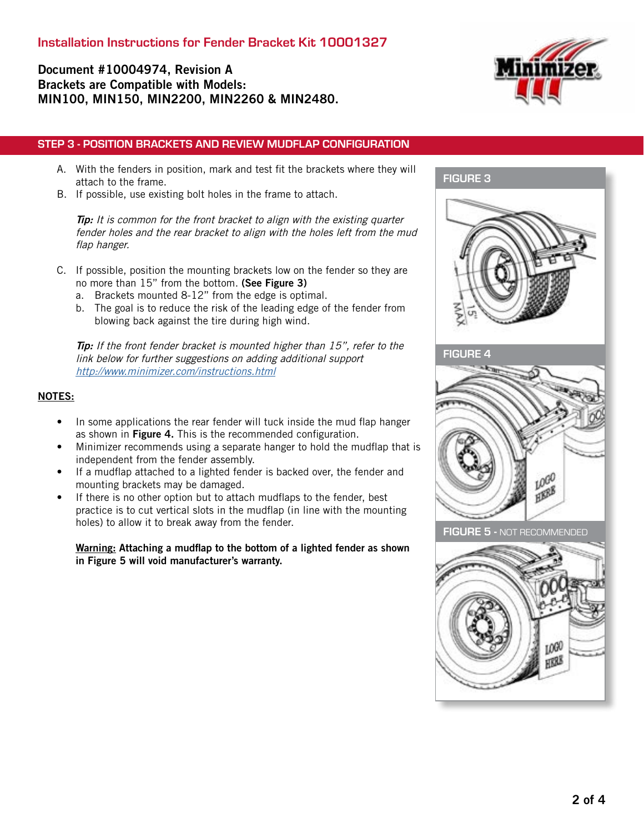# Document #10004974, Revision A Brackets are Compatible with Models: MIN100, MIN150, MIN2200, MIN2260 & MIN2480.



### STEP 3 - POSITION BRACKETS AND REVIEW MUDFLAP CONFIGURATION

- A. With the fenders in position, mark and test fit the brackets where they will attach to the frame.
- B. If possible, use existing bolt holes in the frame to attach.

Tip: It is common for the front bracket to align with the existing quarter fender holes and the rear bracket to align with the holes left from the mud flap hanger.

- C. If possible, position the mounting brackets low on the fender so they are no more than 15" from the bottom. (See Figure 3)
	- a. Brackets mounted 8-12" from the edge is optimal.
	- b. The goal is to reduce the risk of the leading edge of the fender from blowing back against the tire during high wind.

Tip: If the front fender bracket is mounted higher than 15", refer to the link below for further suggestions on adding additional support <http://www.minimizer.com/instructions.html>

#### NOTES:

- In some applications the rear fender will tuck inside the mud flap hanger as shown in Figure 4. This is the recommended configuration.
- Minimizer recommends using a separate hanger to hold the mudflap that is independent from the fender assembly.
- If a mudflap attached to a lighted fender is backed over, the fender and mounting brackets may be damaged.
- If there is no other option but to attach mudflaps to the fender, best practice is to cut vertical slots in the mudflap (in line with the mounting holes) to allow it to break away from the fender.

Warning: Attaching a mudflap to the bottom of a lighted fender as shown in Figure 5 will void manufacturer's warranty.

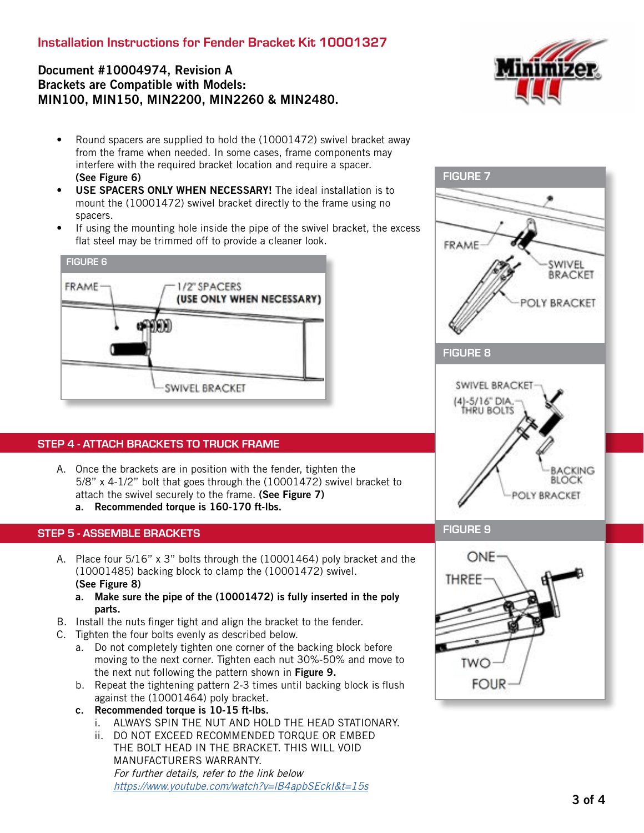# Installation Instructions for Fender Bracket Kit 10001327

# Document #10004974, Revision A Brackets are Compatible with Models: MIN100, MIN150, MIN2200, MIN2260 & MIN2480.



- Round spacers are supplied to hold the (10001472) swivel bracket away from the frame when needed. In some cases, frame components may interfere with the required bracket location and require a spacer. (See Figure 6)
- USE SPACERS ONLY WHEN NECESSARY! The ideal installation is to mount the (10001472) swivel bracket directly to the frame using no spacers.
- If using the mounting hole inside the pipe of the swivel bracket, the excess flat steel may be trimmed off to provide a cleaner look.



## STEP 4 - ATTACH BRACKETS TO TRUCK FRAME

A. Once the brackets are in position with the fender, tighten the 5/8" x 4-1/2" bolt that goes through the (10001472) swivel bracket to attach the swivel securely to the frame. (See Figure 7) a. Recommended torque is 160-170 ft-lbs.

#### STEP 5 - ASSEMBLE BRACKETS

- A. Place four 5/16" x 3" bolts through the (10001464) poly bracket and the (10001485) backing block to clamp the (10001472) swivel. (See Figure 8)
	- a. Make sure the pipe of the (10001472) is fully inserted in the poly parts.
- B. Install the nuts finger tight and align the bracket to the fender.
- C. Tighten the four bolts evenly as described below.
	- a. Do not completely tighten one corner of the backing block before moving to the next corner. Tighten each nut 30%-50% and move to the next nut following the pattern shown in Figure 9.
	- b. Repeat the tightening pattern 2-3 times until backing block is flush against the (10001464) poly bracket.
	- c. Recommended torque is 10-15 ft-lbs.
		- i. ALWAYS SPIN THE NUT AND HOLD THE HEAD STATIONARY.
		- ii. DO NOT EXCEED RECOMMENDED TORQUE OR EMBED THE BOLT HEAD IN THE BRACKET. THIS WILL VOID MANUFACTURERS WARRANTY. For further details, refer to the link below <https://www.youtube.com/watch?v=lB4apbSEckI&t=15s>